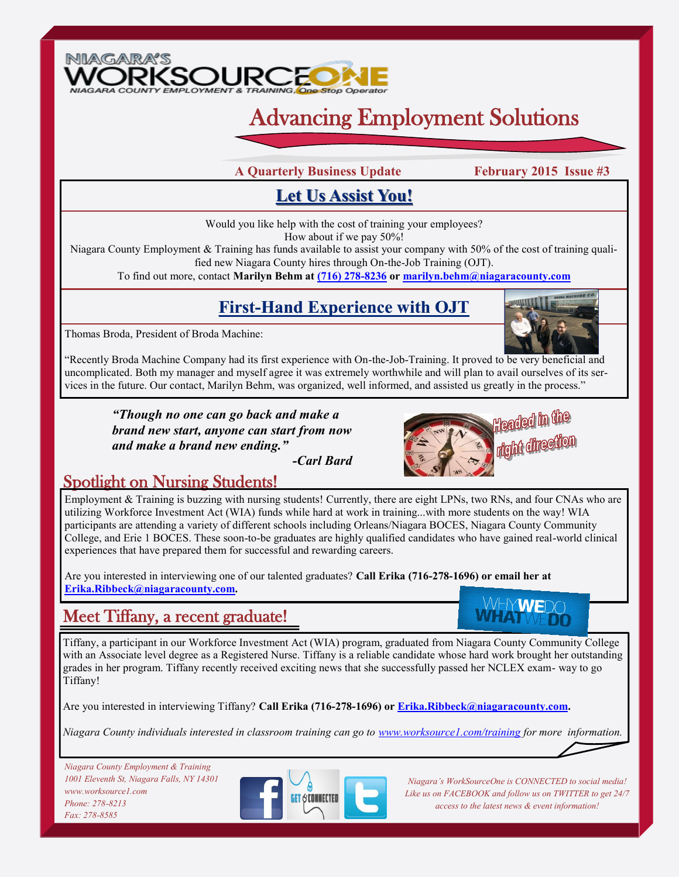

# Advancing Employment Solutions

**A Quarterly Business Update February 2015 Issue #3**

### **Let Us Assist You!**

Would you like help with the cost of training your employees? How about if we pay 50%!

Niagara County Employment & Training has funds available to assist your company with 50% of the cost of training qualified new Niagara County hires through On-the-Job Training (OJT).

To find out more, contact **Marilyn Behm at [\(716\) 278-8236](tel:7162788236) or [marilyn.behm@niagaracounty.com](mailto:marilyn.behm@niagaracounty.com)**

## **First-Hand Experience with OJT**

Thomas Broda, President of Broda Machine:



"Recently Broda Machine Company had its first experience with On-the-Job-Training. It proved to be very beneficial and uncomplicated. Both my manager and myself agree it was extremely worthwhile and will plan to avail ourselves of its services in the future. Our contact, Marilyn Behm, was organized, well informed, and assisted us greatly in the process."

*"Though no one can go back and make a brand new start, anyone can start from now and make a brand new ending."* 

*-Carl Bard*



#### Spotlight on Nursing Students!

Employment & Training is buzzing with nursing students! Currently, there are eight LPNs, two RNs, and four CNAs who are utilizing Workforce Investment Act (WIA) funds while hard at work in training...with more students on the way! WIA participants are attending a variety of different schools including Orleans/Niagara BOCES, Niagara County Community College, and Erie 1 BOCES. These soon-to-be graduates are highly qualified candidates who have gained real-world clinical experiences that have prepared them for successful and rewarding careers.

Are you interested in interviewing one of our talented graduates? **Call Erika (716-278-1696) or email her at [Erika.Ribbeck@niagaracounty.com.](mailto:Erika.Ribbeck@niagaracounty.com)** 

#### Meet Tiffany, a recent graduate!

WHYWFI

Tiffany, a participant in our Workforce Investment Act (WIA) program, graduated from Niagara County Community College with an Associate level degree as a Registered Nurse. Tiffany is a reliable candidate whose hard work brought her outstanding grades in her program. Tiffany recently received exciting news that she successfully passed her NCLEX exam- way to go Tiffany!

Are you interested in interviewing Tiffany? **Call Erika (716-278-1696) or [Erika.Ribbeck@niagaracounty.com.](mailto:Erika.Ribbeck@niagaracounty.com)** 

*Niagara County individuals interested in classroom training can go to [www.worksource1.com/training](http://www.worksource1.com/training) for more information.*

*Niagara County Employment & Training 1001 Eleventh St, Niagara Falls, NY 14301 www.worksource1.com Phone: 278-8213 Fax: 278-8585*



*Niagara's WorkSourceOne is CONNECTED to social media! Like us on FACEBOOK and follow us on TWITTER to get 24/7 access to the latest news & event information!*